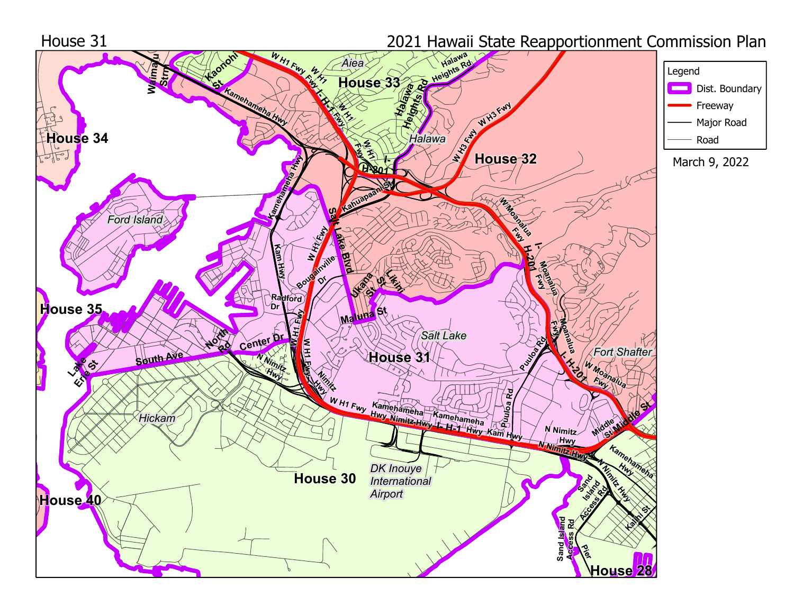